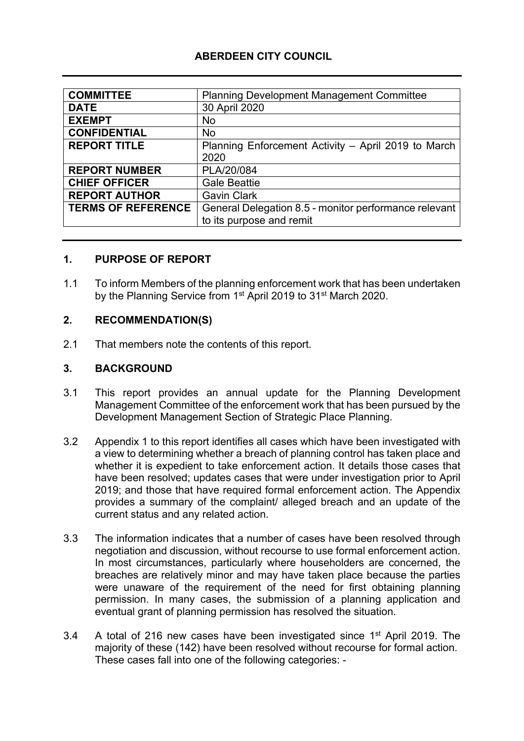# **ABERDEEN CITY COUNCIL**

| <b>COMMITTEE</b>          | <b>Planning Development Management Committee</b>      |
|---------------------------|-------------------------------------------------------|
| <b>DATE</b>               | 30 April 2020                                         |
| <b>EXEMPT</b>             | <b>No</b>                                             |
| <b>CONFIDENTIAL</b>       | <b>No</b>                                             |
| <b>REPORT TITLE</b>       | Planning Enforcement Activity - April 2019 to March   |
|                           | 2020                                                  |
| <b>REPORT NUMBER</b>      | PLA/20/084                                            |
| <b>CHIEF OFFICER</b>      | <b>Gale Beattie</b>                                   |
| <b>REPORT AUTHOR</b>      | <b>Gavin Clark</b>                                    |
| <b>TERMS OF REFERENCE</b> | General Delegation 8.5 - monitor performance relevant |
|                           | to its purpose and remit                              |

#### **1. PURPOSE OF REPORT**

1.1 To inform Members of the planning enforcement work that has been undertaken by the Planning Service from 1<sup>st</sup> April 2019 to 31<sup>st</sup> March 2020.

#### **2. RECOMMENDATION(S)**

2.1 That members note the contents of this report.

#### **3. BACKGROUND**

- 3.1 This report provides an annual update for the Planning Development Management Committee of the enforcement work that has been pursued by the Development Management Section of Strategic Place Planning.
- 3.2 Appendix 1 to this report identifies all cases which have been investigated with a view to determining whether a breach of planning control has taken place and whether it is expedient to take enforcement action. It details those cases that have been resolved; updates cases that were under investigation prior to April 2019; and those that have required formal enforcement action. The Appendix provides a summary of the complaint/ alleged breach and an update of the current status and any related action.
- 3.3 The information indicates that a number of cases have been resolved through negotiation and discussion, without recourse to use formal enforcement action. In most circumstances, particularly where householders are concerned, the breaches are relatively minor and may have taken place because the parties were unaware of the requirement of the need for first obtaining planning permission. In many cases, the submission of a planning application and eventual grant of planning permission has resolved the situation.
- 3.4 A total of 216 new cases have been investigated since 1<sup>st</sup> April 2019. The majority of these (142) have been resolved without recourse for formal action. These cases fall into one of the following categories: -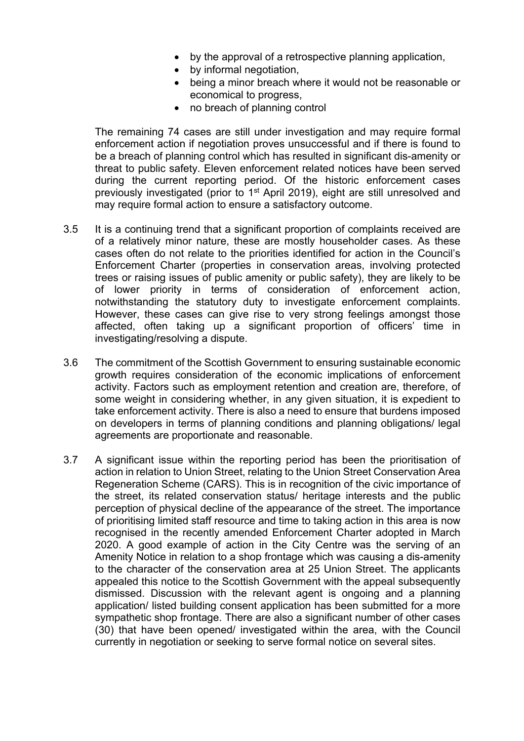- by the approval of a retrospective planning application,
- by informal negotiation,
- being a minor breach where it would not be reasonable or economical to progress,
- no breach of planning control

The remaining 74 cases are still under investigation and may require formal enforcement action if negotiation proves unsuccessful and if there is found to be a breach of planning control which has resulted in significant dis-amenity or threat to public safety. Eleven enforcement related notices have been served during the current reporting period. Of the historic enforcement cases previously investigated (prior to 1<sup>st</sup> April 2019), eight are still unresolved and may require formal action to ensure a satisfactory outcome.

- 3.5 It is a continuing trend that a significant proportion of complaints received are of a relatively minor nature, these are mostly householder cases. As these cases often do not relate to the priorities identified for action in the Council's Enforcement Charter (properties in conservation areas, involving protected trees or raising issues of public amenity or public safety), they are likely to be of lower priority in terms of consideration of enforcement action, notwithstanding the statutory duty to investigate enforcement complaints. However, these cases can give rise to very strong feelings amongst those affected, often taking up a significant proportion of officers' time in investigating/resolving a dispute.
- 3.6 The commitment of the Scottish Government to ensuring sustainable economic growth requires consideration of the economic implications of enforcement activity. Factors such as employment retention and creation are, therefore, of some weight in considering whether, in any given situation, it is expedient to take enforcement activity. There is also a need to ensure that burdens imposed on developers in terms of planning conditions and planning obligations/ legal agreements are proportionate and reasonable.
- 3.7 A significant issue within the reporting period has been the prioritisation of action in relation to Union Street, relating to the Union Street Conservation Area Regeneration Scheme (CARS). This is in recognition of the civic importance of the street, its related conservation status/ heritage interests and the public perception of physical decline of the appearance of the street. The importance of prioritising limited staff resource and time to taking action in this area is now recognised in the recently amended Enforcement Charter adopted in March 2020. A good example of action in the City Centre was the serving of an Amenity Notice in relation to a shop frontage which was causing a dis-amenity to the character of the conservation area at 25 Union Street. The applicants appealed this notice to the Scottish Government with the appeal subsequently dismissed. Discussion with the relevant agent is ongoing and a planning application/ listed building consent application has been submitted for a more sympathetic shop frontage. There are also a significant number of other cases (30) that have been opened/ investigated within the area, with the Council currently in negotiation or seeking to serve formal notice on several sites.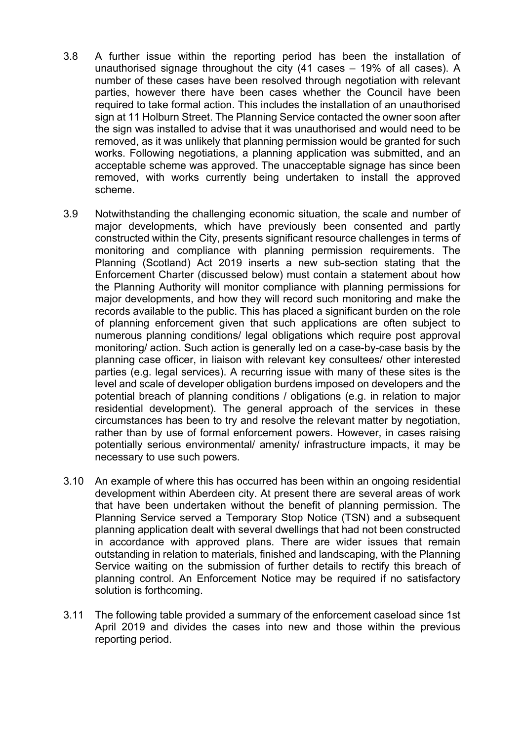- 3.8 A further issue within the reporting period has been the installation of unauthorised signage throughout the city (41 cases – 19% of all cases). A number of these cases have been resolved through negotiation with relevant parties, however there have been cases whether the Council have been required to take formal action. This includes the installation of an unauthorised sign at 11 Holburn Street. The Planning Service contacted the owner soon after the sign was installed to advise that it was unauthorised and would need to be removed, as it was unlikely that planning permission would be granted for such works. Following negotiations, a planning application was submitted, and an acceptable scheme was approved. The unacceptable signage has since been removed, with works currently being undertaken to install the approved scheme.
- 3.9 Notwithstanding the challenging economic situation, the scale and number of major developments, which have previously been consented and partly constructed within the City, presents significant resource challenges in terms of monitoring and compliance with planning permission requirements. The Planning (Scotland) Act 2019 inserts a new sub-section stating that the Enforcement Charter (discussed below) must contain a statement about how the Planning Authority will monitor compliance with planning permissions for major developments, and how they will record such monitoring and make the records available to the public. This has placed a significant burden on the role of planning enforcement given that such applications are often subject to numerous planning conditions/ legal obligations which require post approval monitoring/ action. Such action is generally led on a case-by-case basis by the planning case officer, in liaison with relevant key consultees/ other interested parties (e.g. legal services). A recurring issue with many of these sites is the level and scale of developer obligation burdens imposed on developers and the potential breach of planning conditions / obligations (e.g. in relation to major residential development). The general approach of the services in these circumstances has been to try and resolve the relevant matter by negotiation, rather than by use of formal enforcement powers. However, in cases raising potentially serious environmental/ amenity/ infrastructure impacts, it may be necessary to use such powers.
- 3.10 An example of where this has occurred has been within an ongoing residential development within Aberdeen city. At present there are several areas of work that have been undertaken without the benefit of planning permission. The Planning Service served a Temporary Stop Notice (TSN) and a subsequent planning application dealt with several dwellings that had not been constructed in accordance with approved plans. There are wider issues that remain outstanding in relation to materials, finished and landscaping, with the Planning Service waiting on the submission of further details to rectify this breach of planning control. An Enforcement Notice may be required if no satisfactory solution is forthcoming.
- 3.11 The following table provided a summary of the enforcement caseload since 1st April 2019 and divides the cases into new and those within the previous reporting period.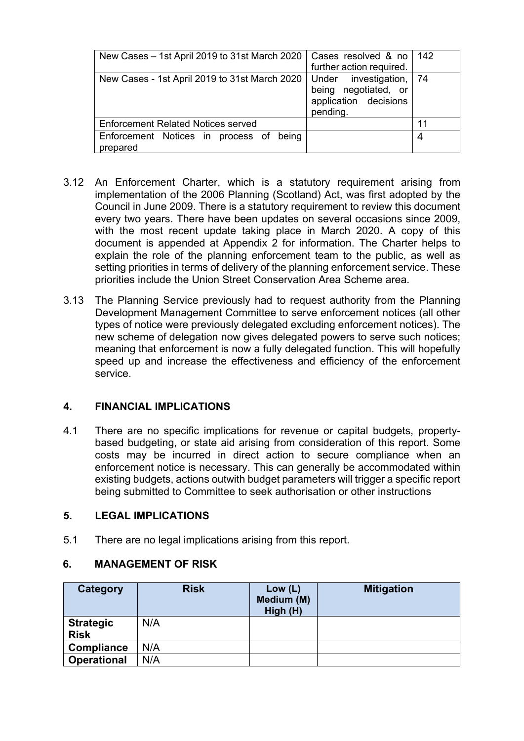| New Cases – 1st April 2019 to 31st March 2020   Cases resolved & no   142 | further action required.                                                               |    |
|---------------------------------------------------------------------------|----------------------------------------------------------------------------------------|----|
| New Cases - 1st April 2019 to 31st March 2020                             | Under investigation,   74<br>being negotiated, or<br>application decisions<br>pending. |    |
| <b>Enforcement Related Notices served</b>                                 |                                                                                        | 11 |
| Enforcement Notices in process of being<br>prepared                       |                                                                                        | 4  |

- 3.12 An Enforcement Charter, which is a statutory requirement arising from implementation of the 2006 Planning (Scotland) Act, was first adopted by the Council in June 2009. There is a statutory requirement to review this document every two years. There have been updates on several occasions since 2009, with the most recent update taking place in March 2020. A copy of this document is appended at Appendix 2 for information. The Charter helps to explain the role of the planning enforcement team to the public, as well as setting priorities in terms of delivery of the planning enforcement service. These priorities include the Union Street Conservation Area Scheme area.
- 3.13 The Planning Service previously had to request authority from the Planning Development Management Committee to serve enforcement notices (all other types of notice were previously delegated excluding enforcement notices). The new scheme of delegation now gives delegated powers to serve such notices; meaning that enforcement is now a fully delegated function. This will hopefully speed up and increase the effectiveness and efficiency of the enforcement service.

#### **4. FINANCIAL IMPLICATIONS**

4.1 There are no specific implications for revenue or capital budgets, propertybased budgeting, or state aid arising from consideration of this report. Some costs may be incurred in direct action to secure compliance when an enforcement notice is necessary. This can generally be accommodated within existing budgets, actions outwith budget parameters will trigger a specific report being submitted to Committee to seek authorisation or other instructions

# **5. LEGAL IMPLICATIONS**

5.1 There are no legal implications arising from this report.

# **6. MANAGEMENT OF RISK**

| Category                        | <b>Risk</b> | Low $(L)$<br>Medium (M)<br>High (H) | <b>Mitigation</b> |
|---------------------------------|-------------|-------------------------------------|-------------------|
| <b>Strategic</b><br><b>Risk</b> | N/A         |                                     |                   |
| Compliance                      | N/A         |                                     |                   |
| <b>Operational</b>              | N/A         |                                     |                   |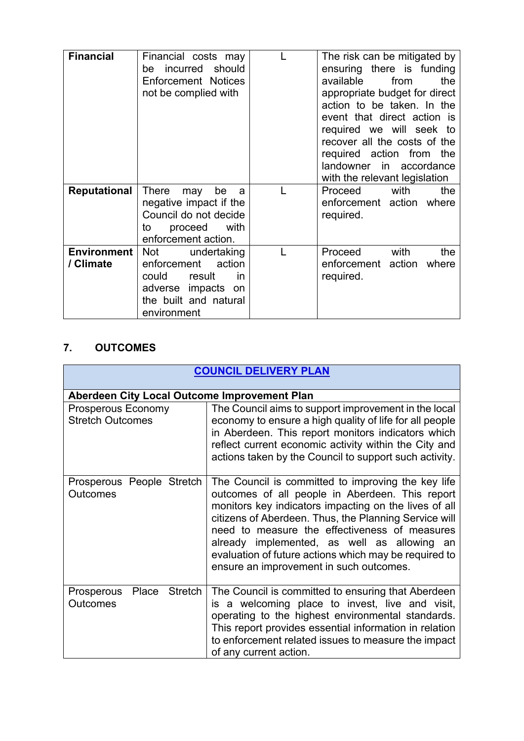| <b>Financial</b>                | Financial costs may<br>be incurred should<br><b>Enforcement Notices</b><br>not be complied with                                              | The risk can be mitigated by<br>ensuring there is funding<br>available<br>from<br>the<br>appropriate budget for direct<br>action to be taken. In the<br>event that direct action is<br>required we will seek to<br>recover all the costs of the<br>required action from the<br>landowner<br>in l<br>accordance<br>with the relevant legislation |
|---------------------------------|----------------------------------------------------------------------------------------------------------------------------------------------|-------------------------------------------------------------------------------------------------------------------------------------------------------------------------------------------------------------------------------------------------------------------------------------------------------------------------------------------------|
| <b>Reputational</b>             | <b>There</b><br>be<br>may<br>a<br>negative impact if the<br>Council do not decide<br>with<br>proceed<br>to<br>enforcement action.            | with<br>the<br>Proceed<br>enforcement action where<br>required.                                                                                                                                                                                                                                                                                 |
| <b>Environment</b><br>/ Climate | <b>Not</b><br>undertaking<br>action<br>enforcement<br>could<br>result<br>in<br>impacts on<br>adverse<br>the built and natural<br>environment | Proceed<br>with<br>the<br>enforcement action<br>where<br>required.                                                                                                                                                                                                                                                                              |

# **7. OUTCOMES**

| <b>COUNCIL DELIVERY PLAN</b>                  |                                                                                                                                                                                                                                                                                                                                                                                                                             |  |
|-----------------------------------------------|-----------------------------------------------------------------------------------------------------------------------------------------------------------------------------------------------------------------------------------------------------------------------------------------------------------------------------------------------------------------------------------------------------------------------------|--|
| Aberdeen City Local Outcome Improvement Plan  |                                                                                                                                                                                                                                                                                                                                                                                                                             |  |
| Prosperous Economy<br><b>Stretch Outcomes</b> | The Council aims to support improvement in the local<br>economy to ensure a high quality of life for all people<br>in Aberdeen. This report monitors indicators which<br>reflect current economic activity within the City and<br>actions taken by the Council to support such activity.                                                                                                                                    |  |
| Prosperous People Stretch<br>Outcomes         | The Council is committed to improving the key life<br>outcomes of all people in Aberdeen. This report<br>monitors key indicators impacting on the lives of all<br>citizens of Aberdeen. Thus, the Planning Service will<br>need to measure the effectiveness of measures<br>already implemented, as well as allowing an<br>evaluation of future actions which may be required to<br>ensure an improvement in such outcomes. |  |
| Stretch<br>Place<br>Prosperous<br>Outcomes    | The Council is committed to ensuring that Aberdeen<br>is a welcoming place to invest, live and visit,<br>operating to the highest environmental standards.<br>This report provides essential information in relation<br>to enforcement related issues to measure the impact<br>of any current action.                                                                                                                       |  |